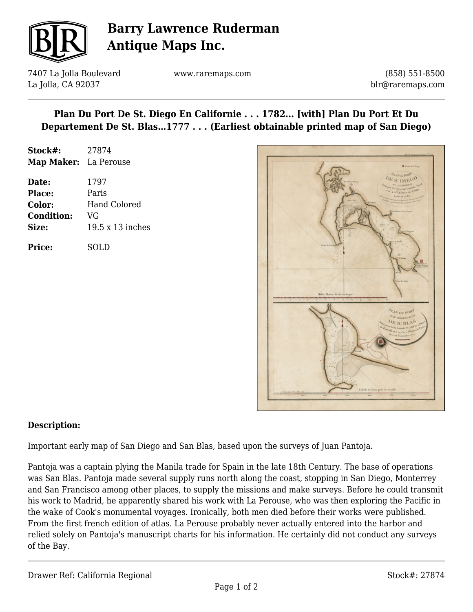

## **Barry Lawrence Ruderman Antique Maps Inc.**

7407 La Jolla Boulevard La Jolla, CA 92037

www.raremaps.com

(858) 551-8500 blr@raremaps.com

## **Plan Du Port De St. Diego En Californie . . . 1782... [with] Plan Du Port Et Du Departement De St. Blas…1777 . . . (Earliest obtainable printed map of San Diego)**

| Stock#:               | 27874 |
|-----------------------|-------|
| Map Maker: La Perouse |       |

| Date:             | 1797                    |
|-------------------|-------------------------|
| <b>Place:</b>     | Paris                   |
| Color:            | <b>Hand Colored</b>     |
| <b>Condition:</b> | VG                      |
| Size:             | $19.5 \times 13$ inches |
|                   |                         |

**Price:** SOLD



#### **Description:**

Important early map of San Diego and San Blas, based upon the surveys of Juan Pantoja.

Pantoja was a captain plying the Manila trade for Spain in the late 18th Century. The base of operations was San Blas. Pantoja made several supply runs north along the coast, stopping in San Diego, Monterrey and San Francisco among other places, to supply the missions and make surveys. Before he could transmit his work to Madrid, he apparently shared his work with La Perouse, who was then exploring the Pacific in the wake of Cook's monumental voyages. Ironically, both men died before their works were published. From the first french edition of atlas. La Perouse probably never actually entered into the harbor and relied solely on Pantoja's manuscript charts for his information. He certainly did not conduct any surveys of the Bay.